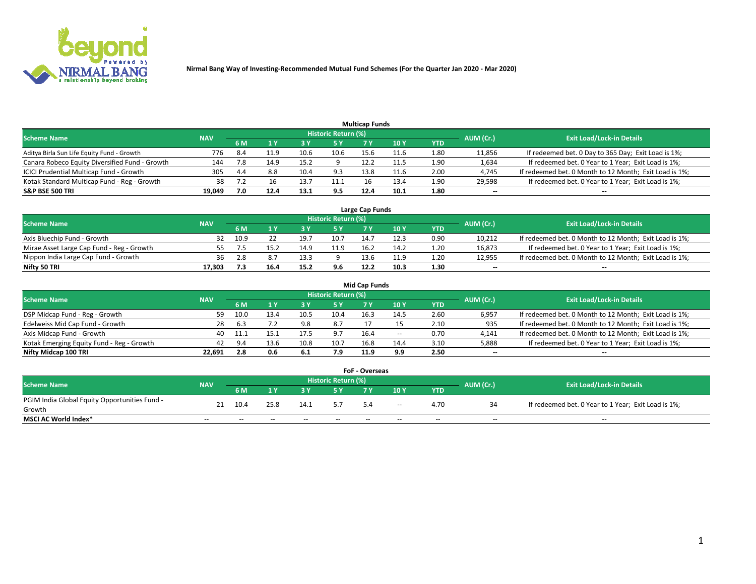

| <b>Multicap Funds</b>                          |            |      |      |      |                     |      |                 |      |           |                                                        |  |  |  |  |
|------------------------------------------------|------------|------|------|------|---------------------|------|-----------------|------|-----------|--------------------------------------------------------|--|--|--|--|
| <b>Scheme Name</b>                             | <b>NAV</b> |      |      |      | Historic Return (%) |      |                 |      | AUM (Cr.) | <b>Exit Load/Lock-in Details</b>                       |  |  |  |  |
|                                                |            | 6 M  |      |      | 5 Y                 |      | 10 <sub>Y</sub> | YTD  |           |                                                        |  |  |  |  |
| Aditya Birla Sun Life Equity Fund - Growth     | 776        | -8.4 | 11.9 |      | 10.6                | 15.6 | 11.6            | 1.80 | 11,856    | If redeemed bet. 0 Day to 365 Day; Exit Load is 1%;    |  |  |  |  |
| Canara Robeco Equity Diversified Fund - Growth | 144        | 7.8  | 14.9 | 15.2 |                     | 12.2 | 11.5            | 1.90 | 1,634     | If redeemed bet. 0 Year to 1 Year; Exit Load is 1%;    |  |  |  |  |
| ICICI Prudential Multicap Fund - Growth        | 305        | 4.4  | 8.8  | 10.4 | 9.3                 | 13.8 | 11.6            | 2.00 | 4,745     | If redeemed bet. 0 Month to 12 Month; Exit Load is 1%; |  |  |  |  |
| Kotak Standard Multicap Fund - Reg - Growth    | 38         |      |      | 13.  | 11.1                | 16   | 13.4            | 1.90 | 29,598    | If redeemed bet. 0 Year to 1 Year; Exit Load is 1%;    |  |  |  |  |
| <b>S&amp;P BSE 500 TRI</b>                     | 19.049     | 7.0  | 12.4 | 13.1 | 9.5                 | 12.4 | 10.1            | 1.80 | $- -$     | $-$                                                    |  |  |  |  |

| Large Cap Funds                           |            |      |      |      |                     |      |      |      |           |                                                        |  |  |  |  |
|-------------------------------------------|------------|------|------|------|---------------------|------|------|------|-----------|--------------------------------------------------------|--|--|--|--|
| Scheme Name                               | <b>NAV</b> |      |      |      | Historic Return (%) |      |      |      | AUM (Cr.) | <b>Exit Load/Lock-in Details</b>                       |  |  |  |  |
|                                           |            | 6 M  |      |      | 5 Y                 |      | 10Y  | YTD  |           |                                                        |  |  |  |  |
| Axis Bluechip Fund - Growth               |            | 10.9 |      | 19.  | 10.                 | 14.7 | 12.3 | 0.90 | 10,212    | If redeemed bet. 0 Month to 12 Month; Exit Load is 1%; |  |  |  |  |
| Mirae Asset Large Cap Fund - Reg - Growth |            |      |      |      | 11.9                | 16.4 | 14.2 | 1.20 | 16,873    | If redeemed bet. 0 Year to 1 Year; Exit Load is 1%;    |  |  |  |  |
| Nippon India Large Cap Fund - Growth      | 36         | 2.8  |      |      |                     | 13 G | 11.9 | 1.2C | 12,955    | If redeemed bet. 0 Month to 12 Month; Exit Load is 1%; |  |  |  |  |
| Nifty 50 TRI                              | 17.303     |      | 16.4 | 15.2 | 9.6                 | 12.2 | 10.3 | 1.30 | $\sim$    | $-$                                                    |  |  |  |  |

| <b>Mid Cap Funds</b>                      |            |      |      |      |                     |      |       |            |           |                                                        |  |  |  |  |
|-------------------------------------------|------------|------|------|------|---------------------|------|-------|------------|-----------|--------------------------------------------------------|--|--|--|--|
| <b>Scheme Name</b>                        | <b>NAV</b> |      |      |      | Historic Return (%) |      |       |            | AUM (Cr.) | <b>Exit Load/Lock-in Details</b>                       |  |  |  |  |
|                                           |            | 6 M  |      |      | 5 Y                 |      | 10 Y  | <b>YTD</b> |           |                                                        |  |  |  |  |
| DSP Midcap Fund - Reg - Growth            | 59.        | 10.0 |      | 10.5 | 10.4                | 16.3 | 14.5  | 2.60       | 6,957     | If redeemed bet. 0 Month to 12 Month; Exit Load is 1%; |  |  |  |  |
| Edelweiss Mid Cap Fund - Growth           | 28         | -6.3 |      |      | 8.7                 |      |       | 2.10       | 935       | If redeemed bet. 0 Month to 12 Month; Exit Load is 1%; |  |  |  |  |
| Axis Midcap Fund - Growth                 | 40         |      |      |      | 9.7                 | 16.4 | $- -$ | 0.70       | 4,141     | If redeemed bet. 0 Month to 12 Month; Exit Load is 1%; |  |  |  |  |
| Kotak Emerging Equity Fund - Reg - Growth | 42         | 9.4  | 13.6 | 10.8 | 10.7                | 16.8 | 14.4  | 3.10       | 5,888     | If redeemed bet. 0 Year to 1 Year; Exit Load is 1%;    |  |  |  |  |
| Nifty Midcap 100 TRI                      | 22.691     |      | 0.6  | -6.1 | 7.9                 | 11.9 | 9.9   | 2.50       | $\sim$    | $\sim$                                                 |  |  |  |  |

| <b>FoF - Overseas</b>                         |            |       |       |       |                            |      |       |            |           |                                                     |  |  |  |  |
|-----------------------------------------------|------------|-------|-------|-------|----------------------------|------|-------|------------|-----------|-----------------------------------------------------|--|--|--|--|
| <b>Scheme Name</b>                            | <b>NAV</b> |       |       |       | <b>Historic Return (%)</b> |      |       |            | AUM (Cr.) | <b>Exit Load/Lock-in Details</b>                    |  |  |  |  |
|                                               |            | 6 M   |       |       |                            |      | 10Y   | <b>YTD</b> |           |                                                     |  |  |  |  |
| PGIM India Global Equity Opportunities Fund - | 21         | 10.4  | 25.8  | 14.1  |                            | 5.4  |       | 4.70       |           | If redeemed bet. 0 Year to 1 Year; Exit Load is 1%; |  |  |  |  |
| Growth                                        |            |       |       |       |                            |      | $- -$ |            |           |                                                     |  |  |  |  |
| <b>MSCI AC World Index*</b>                   | $- -$      | $- -$ | $- -$ | $- -$ | $- -$                      | $ -$ | $- -$ | --         | $- -$     | $- -$                                               |  |  |  |  |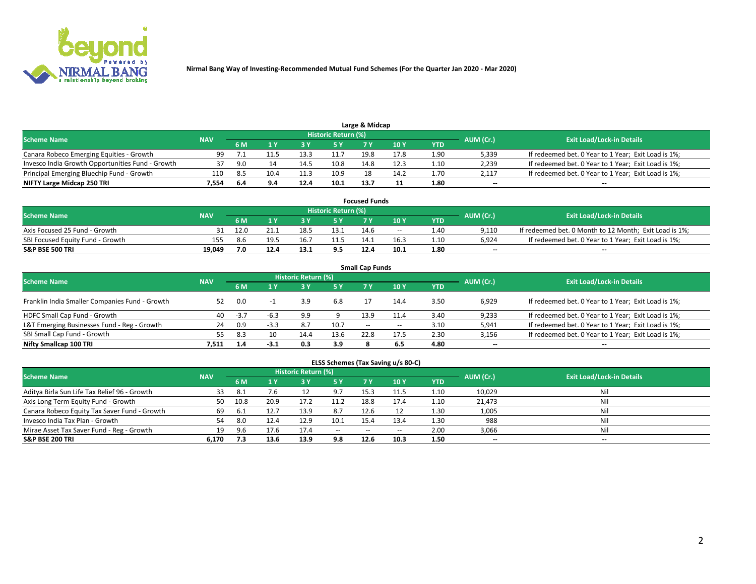

| Large & Midcap                                   |            |      |      |      |                     |      |      |      |           |                                                     |  |  |  |  |
|--------------------------------------------------|------------|------|------|------|---------------------|------|------|------|-----------|-----------------------------------------------------|--|--|--|--|
| <b>Scheme Name</b>                               | <b>NAV</b> |      |      |      | Historic Return (%) |      |      |      | AUM (Cr.) | <b>Exit Load/Lock-in Details</b>                    |  |  |  |  |
|                                                  |            | 6 M  |      |      | 5 Y                 |      | 10Y  | YTD  |           |                                                     |  |  |  |  |
| Canara Robeco Emerging Equities - Growth         | 99.        |      |      |      |                     | 19.8 | 17.8 | 1.90 | 5,339     | If redeemed bet. 0 Year to 1 Year; Exit Load is 1%; |  |  |  |  |
| Invesco India Growth Opportunities Fund - Growth |            | 9.O  |      | 14.5 | 10.8                | 14.8 | 12.3 | 1.10 | 2,239     | If redeemed bet. 0 Year to 1 Year; Exit Load is 1%; |  |  |  |  |
| Principal Emerging Bluechip Fund - Growth        | 110        | -8.5 | 10.4 |      | 10.9                |      | 14.2 | 1.70 | 2,117     | If redeemed bet. 0 Year to 1 Year; Exit Load is 1%; |  |  |  |  |
| NIFTY Large Midcap 250 TRI                       | 1.554      | 6.4  | 9.4  | 12.4 | 10.1                | 13.7 |      | 1.80 | $\sim$    | $-$                                                 |  |  |  |  |

| <b>Focused Funds</b>             |            |      |      |      |                     |      |       |      |           |                                                        |  |  |  |
|----------------------------------|------------|------|------|------|---------------------|------|-------|------|-----------|--------------------------------------------------------|--|--|--|
| <b>Scheme Name</b>               | <b>NAV</b> |      |      |      | Historic Return (%) |      |       |      |           | <b>Exit Load/Lock-in Details</b>                       |  |  |  |
|                                  |            | 6 M  |      |      |                     |      | 10 Y  | YTD  | AUM (Cr.) |                                                        |  |  |  |
| Axis Focused 25 Fund - Growth    |            | 12.0 |      |      | 13.1                | 14.6 | $- -$ | 1.40 | 9.110     | If redeemed bet. 0 Month to 12 Month; Exit Load is 1%; |  |  |  |
| SBI Focused Equity Fund - Growth | 155        | 8.6  | 19.5 |      |                     | 14.1 | 16.3  | 1.10 | 6.924     | If redeemed bet. 0 Year to 1 Year; Exit Load is 1%;    |  |  |  |
| <b>S&amp;P BSE 500 TRI</b>       | 19.049     | 7.0  |      | 13.1 | 9.5                 | 12.4 | 10.1  | 1.80 | $\sim$    | $- -$                                                  |  |  |  |

| <b>Small Cap Funds</b>                         |            |        |        |                     |      |                     |       |      |           |                                                     |  |  |  |  |
|------------------------------------------------|------------|--------|--------|---------------------|------|---------------------|-------|------|-----------|-----------------------------------------------------|--|--|--|--|
| <b>Scheme Name</b>                             | <b>NAV</b> |        |        | Historic Return (%) |      |                     |       |      | AUM (Cr.) | <b>Exit Load/Lock-in Details</b>                    |  |  |  |  |
|                                                |            | 6 M    |        | 3Y                  | 5 Y  | 7 Y                 | 10Y   | YTD  |           |                                                     |  |  |  |  |
| Franklin India Smaller Companies Fund - Growth | 52         | 0.0    |        |                     | 6.8  |                     | 14.4  | 3.50 | 6,929     | If redeemed bet. 0 Year to 1 Year; Exit Load is 1%; |  |  |  |  |
| HDFC Small Cap Fund - Growth                   | 40         | $-3.7$ | $-6.3$ | 9.9                 |      | 13.9                | 11.4  | 3.40 | 9,233     | If redeemed bet. 0 Year to 1 Year; Exit Load is 1%; |  |  |  |  |
| L&T Emerging Businesses Fund - Reg - Growth    | 24         | 0.9    | $-3.3$ | 8.7                 | 10.7 | $\hspace{0.05cm} -$ | $- -$ | 3.10 | 5,941     | If redeemed bet. 0 Year to 1 Year; Exit Load is 1%; |  |  |  |  |
| SBI Small Cap Fund - Growth                    | 55         | 8.3    | 10     | 14.4                | 13.6 | 22.8                | 17.5  | 2.30 | 3,156     | If redeemed bet. 0 Year to 1 Year; Exit Load is 1%; |  |  |  |  |
| Nifty Smallcap 100 TRI                         | 7.511      | 1.4    | $-3.1$ | 0.3                 | 3.9  |                     | 6.5   | 4.80 | $\sim$    | $- -$                                               |  |  |  |  |

## **ELSS Schemes (Tax Saving u/s 80-C)**

| <b>Scheme Name</b>                           | <b>NAV</b> |      |      | <b>Historic Return (%)</b> |           |      |      |                   | AUM (Cr.) | <b>Exit Load/Lock-in Details</b> |
|----------------------------------------------|------------|------|------|----------------------------|-----------|------|------|-------------------|-----------|----------------------------------|
|                                              |            | 6 M  | 1 Y  | 3 Y                        | <b>5Y</b> | 7 Y  | 10Y  | YTD               |           |                                  |
| Aditya Birla Sun Life Tax Relief 96 - Growth | 33         | -8.1 | 7.b  |                            | 9.7       | 15.3 |      | 1.10              | 10,029    | Nil                              |
| Axis Long Term Equity Fund - Growth          | 50         | 10.8 | 20.9 | 17.2                       | 11.2      | 18.8 | 17.4 | 1.10              | 21,473    | Nil                              |
| Canara Robeco Equity Tax Saver Fund - Growth | 69         | 6.1  |      | 13.9                       | 8.7       | 12.6 |      | 1.30 <sub>1</sub> | 1,005     | Nil                              |
| Invesco India Tax Plan - Growth              | 54         | 8.0  | 12.4 | 12.9                       | 10.1      | 15.4 | 13.4 | 1.30              | 988       | Nil                              |
| Mirae Asset Tax Saver Fund - Reg - Growth    | 19         | 9.6  | 17.6 |                            | $- -$     | --   |      | 2.00              | 3,066     | Nil                              |
| S&P BSE 200 TRI                              | 6,170      |      | 13.6 | 13.9                       | 9.8       | 12.6 | 10.3 | 1.50              | $\sim$    | $- -$                            |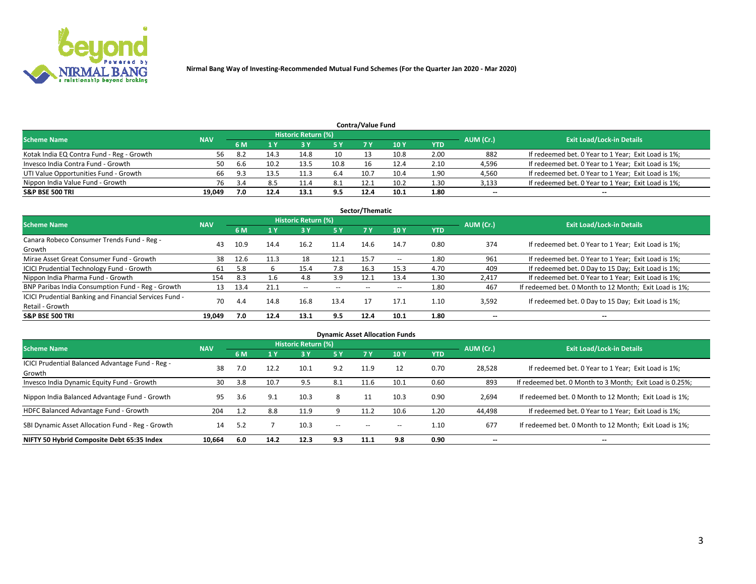

| <b>Contra/Value Fund</b>                                                                                        |        |      |      |      |      |      |      |            |        |                                                     |  |  |  |  |
|-----------------------------------------------------------------------------------------------------------------|--------|------|------|------|------|------|------|------------|--------|-----------------------------------------------------|--|--|--|--|
| <b>Historic Return (%)</b><br><b>Exit Load/Lock-in Details</b><br>AUM (Cr.)<br><b>Scheme Name</b><br><b>NAV</b> |        |      |      |      |      |      |      |            |        |                                                     |  |  |  |  |
|                                                                                                                 |        | 6 M  |      |      | 5 Y  |      | 10Y  | <b>YTD</b> |        |                                                     |  |  |  |  |
| Kotak India EQ Contra Fund - Reg - Growth                                                                       | 56     | -8.2 | 14.3 | 14.8 | 10   |      | 10.8 | 2.00       | 882    | If redeemed bet. 0 Year to 1 Year; Exit Load is 1%; |  |  |  |  |
| Invesco India Contra Fund - Growth                                                                              | 50     | 6.6  | 10.2 | 13.5 | 10.8 |      | 12.4 | 2.10       | 4,596  | If redeemed bet. 0 Year to 1 Year; Exit Load is 1%; |  |  |  |  |
| UTI Value Opportunities Fund - Growth                                                                           | 66     | 9.3  | 13.5 |      | 6.4  | 10.7 | 10.4 | 1.90       | 4,560  | If redeemed bet. 0 Year to 1 Year; Exit Load is 1%; |  |  |  |  |
| Nippon India Value Fund - Growth                                                                                | 76     |      |      | 11.4 | 8.1  | 12.1 | 10.2 | 1.30       | 3,133  | If redeemed bet. 0 Year to 1 Year; Exit Load is 1%; |  |  |  |  |
| <b>S&amp;P BSE 500 TRI</b>                                                                                      | 19.049 | 7.0  | 12.4 | 13.1 | 9.5  | 12.4 | 10.1 | 1.80       | $\sim$ | $- -$                                               |  |  |  |  |

| Sector/Thematic                                                           |            |      |      |                     |           |       |                          |            |                          |                                                        |  |  |  |  |
|---------------------------------------------------------------------------|------------|------|------|---------------------|-----------|-------|--------------------------|------------|--------------------------|--------------------------------------------------------|--|--|--|--|
| <b>Scheme Name</b>                                                        | <b>NAV</b> |      |      | Historic Return (%) |           |       |                          |            | AUM (Cr.)                | <b>Exit Load/Lock-in Details</b>                       |  |  |  |  |
|                                                                           |            | 6 M  | 1 Y  | 73 Y                | <b>5Y</b> | 7 Y   | 10Y                      | <b>YTD</b> |                          |                                                        |  |  |  |  |
| Canara Robeco Consumer Trends Fund - Reg -<br>Growth                      | 43         | 10.9 | 14.4 | 16.2                | 11.4      | 14.6  | 14.7                     | 0.80       | 374                      | If redeemed bet. 0 Year to 1 Year; Exit Load is 1%;    |  |  |  |  |
| Mirae Asset Great Consumer Fund - Growth                                  | 38         | 12.6 | 11.3 | 18                  | 12.1      | 15.7  | $\overline{\phantom{a}}$ | 1.80       | 961                      | If redeemed bet. 0 Year to 1 Year; Exit Load is 1%;    |  |  |  |  |
| ICICI Prudential Technology Fund - Growth                                 | 61         | 5.8  |      | 15.4                | 7.8       | 16.3  | 15.3                     | 4.70       | 409                      | If redeemed bet. 0 Day to 15 Day; Exit Load is 1%;     |  |  |  |  |
| Nippon India Pharma Fund - Growth                                         | 154        | 8.3  | 1.6  | 4.8                 | 3.9       | 12.1  | 13.4                     | 1.30       | 2,417                    | If redeemed bet. 0 Year to 1 Year; Exit Load is 1%;    |  |  |  |  |
| BNP Paribas India Consumption Fund - Reg - Growth                         | 13         | 13.4 | 21.1 | $\sim$              | $- -$     | $- -$ | $- -$                    | 1.80       | 467                      | If redeemed bet. 0 Month to 12 Month; Exit Load is 1%; |  |  |  |  |
| ICICI Prudential Banking and Financial Services Fund -<br>Retail - Growth | 70         | 4.4  | 14.8 | 16.8                | 13.4      |       | 17.1                     | 1.10       | 3,592                    | If redeemed bet. 0 Day to 15 Day; Exit Load is 1%;     |  |  |  |  |
| <b>S&amp;P BSE 500 TRI</b>                                                | 19.049     | 7.0  | 12.4 | 13.1                | 9.5       | 12.4  | 10.1                     | 1.80       | $\overline{\phantom{a}}$ | $- -$                                                  |  |  |  |  |

| <b>Dynamic Asset Allocation Funds</b>                      |            |     |      |                            |        |       |                          |            |           |                                                          |  |  |  |
|------------------------------------------------------------|------------|-----|------|----------------------------|--------|-------|--------------------------|------------|-----------|----------------------------------------------------------|--|--|--|
| <b>Scheme Name</b>                                         | <b>NAV</b> |     |      | <b>Historic Return (%)</b> |        |       |                          |            | AUM (Cr.) | <b>Exit Load/Lock-in Details</b>                         |  |  |  |
|                                                            |            | 6 M | 1 Y  | 73 Y                       | 5 Y    |       | 10Y                      | <b>YTD</b> |           |                                                          |  |  |  |
| ICICI Prudential Balanced Advantage Fund - Reg -<br>Growth | 38         | 7.0 | 12.2 | 10.1                       | 9.2    | 11.9  | 12                       | 0.70       | 28,528    | If redeemed bet. 0 Year to 1 Year; Exit Load is 1%;      |  |  |  |
| Invesco India Dynamic Equity Fund - Growth                 | 30         | 3.8 | 10.7 | 9.5                        | 8.1    | 11.6  | 10.1                     | 0.60       | 893       | If redeemed bet. 0 Month to 3 Month; Exit Load is 0.25%; |  |  |  |
| Nippon India Balanced Advantage Fund - Growth              | 95         | 3.6 | 9.1  | 10.3                       | 8      |       | 10.3                     | 0.90       | 2,694     | If redeemed bet. 0 Month to 12 Month; Exit Load is 1%;   |  |  |  |
| HDFC Balanced Advantage Fund - Growth                      | 204        | 1.2 | 8.8  | 11.9                       |        | 11.2  | 10.6                     | 1.20       | 44,498    | If redeemed bet. 0 Year to 1 Year; Exit Load is 1%;      |  |  |  |
| SBI Dynamic Asset Allocation Fund - Reg - Growth           | 14         | 5.2 |      | 10.3                       | $\sim$ | $- -$ | $\overline{\phantom{a}}$ | 1.10       | 677       | If redeemed bet. 0 Month to 12 Month; Exit Load is 1%;   |  |  |  |
| NIFTY 50 Hybrid Composite Debt 65:35 Index                 | 10,664     | 6.0 | 14.2 | 12.3                       | 9.3    | 11.1  | 9.8                      | 0.90       | --        | --                                                       |  |  |  |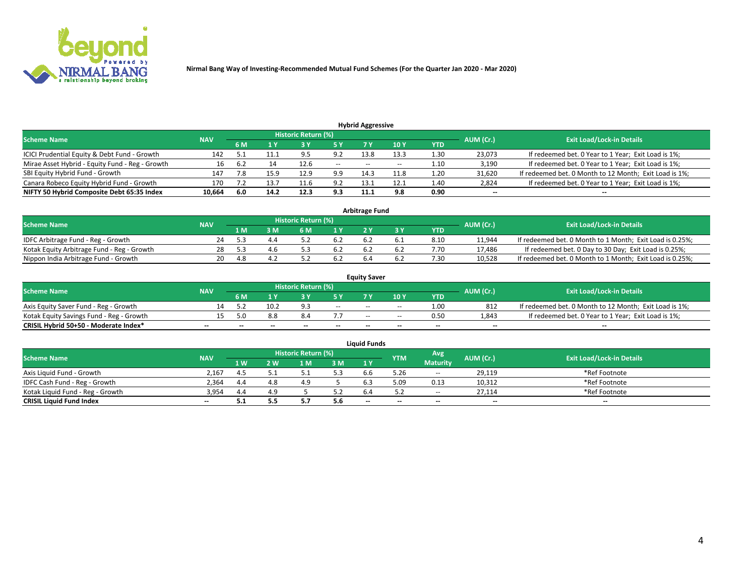

| <b>Hybrid Aggressive</b>                                                                                        |        |      |      |      |               |       |       |                   |                          |                                                        |  |  |  |  |
|-----------------------------------------------------------------------------------------------------------------|--------|------|------|------|---------------|-------|-------|-------------------|--------------------------|--------------------------------------------------------|--|--|--|--|
| <b>Historic Return (%)</b><br><b>Exit Load/Lock-in Details</b><br>AUM (Cr.)<br><b>Scheme Name</b><br><b>NAV</b> |        |      |      |      |               |       |       |                   |                          |                                                        |  |  |  |  |
|                                                                                                                 |        | 6 M  |      |      | 5 Y           |       | 10Y   | YTD               |                          |                                                        |  |  |  |  |
| ICICI Prudential Equity & Debt Fund - Growth                                                                    | 142    |      | 11.1 | Q    | 9.2           | 13.8  | 13.3  | 1.30 <sub>1</sub> | 23,073                   | If redeemed bet. 0 Year to 1 Year; Exit Load is 1%;    |  |  |  |  |
| Mirae Asset Hybrid - Equity Fund - Reg - Growth                                                                 | 16     | -6.2 | 14   | 12.6 | $\sim$ $\sim$ | $- -$ | $- -$ | 1.10              | 3,190                    | If redeemed bet. 0 Year to 1 Year; Exit Load is 1%;    |  |  |  |  |
| SBI Equity Hybrid Fund - Growth                                                                                 | 147    | 7.8  | 15.9 | 12.9 | 9.9           | 14.3  |       | 1.20              | 31,620                   | If redeemed bet. 0 Month to 12 Month; Exit Load is 1%; |  |  |  |  |
| Canara Robeco Equity Hybrid Fund - Growth                                                                       | 170    |      | 13.7 |      | 9.2           | 13.1  | 12.1  | 1.40              | 2,824                    | If redeemed bet. 0 Year to 1 Year; Exit Load is 1%;    |  |  |  |  |
| NIFTY 50 Hybrid Composite Debt 65:35 Index                                                                      | 10,664 | -6.0 | 14.2 | 12.3 | 9.3           | 11.1  | 9.8   | 0.90              | $\overline{\phantom{m}}$ | $- -$                                                  |  |  |  |  |

|                                            |            |     |                     |                                  | Arbitrage Fund |     |            |           |                                                          |
|--------------------------------------------|------------|-----|---------------------|----------------------------------|----------------|-----|------------|-----------|----------------------------------------------------------|
| <b>Scheme Name</b>                         | <b>NAV</b> |     | Historic Return (%) | <b>Exit Load/Lock-in Details</b> |                |     |            |           |                                                          |
|                                            |            | l M | <b>M</b>            | 1 <sub>V</sub>                   |                |     | <b>YTD</b> | AUM (Cr.) |                                                          |
| IDFC Arbitrage Fund - Reg - Growth         | 24         |     |                     |                                  |                |     | 8.10       | 11,944    | If redeemed bet. 0 Month to 1 Month; Exit Load is 0.25%; |
| Kotak Equity Arbitrage Fund - Reg - Growth |            |     | 4.6                 | 6.2                              |                | b.4 | 7.70       | 17.486    | If redeemed bet. 0 Day to 30 Day; Exit Load is 0.25%;    |
| Nippon India Arbitrage Fund - Growth       | 20         | 1 S |                     |                                  |                |     | /.30       | 10.528    | If redeemed bet. 0 Month to 1 Month; Exit Load is 0.25%; |

|                                          |            |                                  |      |                          |                          | <b>Equity Saver</b> |               |            |                          |                                                        |
|------------------------------------------|------------|----------------------------------|------|--------------------------|--------------------------|---------------------|---------------|------------|--------------------------|--------------------------------------------------------|
| Scheme Name                              | <b>NAV</b> | <b>Exit Load/Lock-in Details</b> |      |                          |                          |                     |               |            |                          |                                                        |
|                                          |            | 6 M                              |      |                          | 5 Y                      |                     | $\sqrt{10}$ Y | <b>YTD</b> | AUM (Cr.)                |                                                        |
| Axis Equity Saver Fund - Reg - Growth    |            |                                  | 10.2 | Q <sub>1</sub>           | $\sim$                   | $- -$               | $- -$         | 1.00       | 812                      | If redeemed bet. 0 Month to 12 Month; Exit Load is 1%; |
| Kotak Equity Savings Fund - Reg - Growth |            | 5.በ                              | 8.8  | 8.4                      |                          | $\sim$ $\sim$       | $- -$         | 0.50       | 1,843                    | If redeemed bet. 0 Year to 1 Year; Exit Load is 1%;    |
| CRISIL Hybrid 50+50 - Moderate Index*    |            | $-$                              | $-$  | $\overline{\phantom{a}}$ | $\overline{\phantom{a}}$ | $\sim$              | --            | $- -$      | $\overline{\phantom{a}}$ | $- -$                                                  |

| <b>Liquid Funds</b>              |            |      |     |                            |      |                          |            |                 |           |                                  |  |  |  |
|----------------------------------|------------|------|-----|----------------------------|------|--------------------------|------------|-----------------|-----------|----------------------------------|--|--|--|
| Scheme Name                      | <b>NAV</b> |      |     | <b>Historic Return (%)</b> |      |                          | <b>YTM</b> | Avg             | AUM (Cr.) | <b>Exit Load/Lock-in Details</b> |  |  |  |
|                                  |            | 1 W. | 2 W | 1 M                        | 3M   | 71 Y                     |            | <b>Maturity</b> |           |                                  |  |  |  |
| Axis Liquid Fund - Growth        | 2,167      |      |     |                            | 5.3  | b.b                      | 5.26       | $\sim$          | 29,119    | *Ref Footnote                    |  |  |  |
| IDFC Cash Fund - Reg - Growth    | 2.364      | 4.4  |     | 4.9                        |      |                          | 5.09       | 0.13            | 10,312    | *Ref Footnote                    |  |  |  |
| Kotak Liquid Fund - Reg - Growth | 3,954      | 4.4  |     |                            | ے. ر |                          |            | $- -$           | 27.114    | *Ref Footnote                    |  |  |  |
| <b>CRISIL Liquid Fund Index</b>  | $\sim$     | ـ .  | 5.5 |                            | 5.6  | $\overline{\phantom{a}}$ | $-$        | $- -$           | $\sim$    | $\sim$                           |  |  |  |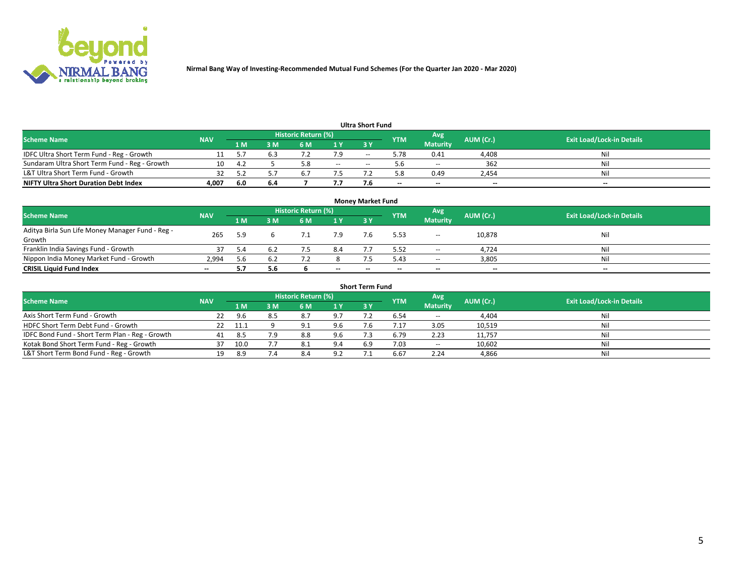

|                                               |            |      |     |                     |       | <b>Ultra Short Fund</b> |            |                 |           |                                  |
|-----------------------------------------------|------------|------|-----|---------------------|-------|-------------------------|------------|-----------------|-----------|----------------------------------|
| <b>Scheme Name</b>                            | <b>NAV</b> |      |     | Historic Return (%) |       |                         | <b>YTM</b> | Avg             | AUM (Cr.) | <b>Exit Load/Lock-in Details</b> |
|                                               |            | 1 M  | 3 M | 6 M                 | 1 Y   | 3 Y                     |            | <b>Maturity</b> |           |                                  |
| IDFC Ultra Short Term Fund - Reg - Growth     |            |      |     |                     |       | $- -$                   | 5.78       | 0.41            | 4,408     | Nil                              |
| Sundaram Ultra Short Term Fund - Reg - Growth | 10         | 4.7  |     |                     | $- -$ | --                      |            | $- -$           | 362       | Nil                              |
| L&T Ultra Short Term Fund - Growth            |            |      |     |                     |       |                         | - 8        | 0.49            | 2,454     | Nil                              |
| <b>NIFTY Ultra Short Duration Debt Index</b>  | 4,007      | -6.0 | 6.4 |                     | 7.7   |                         | $\sim$     | $\sim$          | $\sim$    | $- -$                            |

| <b>Money Market Fund</b>                         |            |     |     |                                           |       |           |                                  |                 |        |        |  |  |  |
|--------------------------------------------------|------------|-----|-----|-------------------------------------------|-------|-----------|----------------------------------|-----------------|--------|--------|--|--|--|
| <b>Scheme Name</b>                               | <b>NAV</b> |     |     | Historic Return (%)<br>'Avg<br><b>YTM</b> |       | AUM (Cr.) | <b>Exit Load/Lock-in Details</b> |                 |        |        |  |  |  |
|                                                  |            | 1 M | 3 M | 6 M                                       | 1 Y   | 3Y        |                                  | <b>Maturity</b> |        |        |  |  |  |
| Aditya Birla Sun Life Money Manager Fund - Reg - | 265        | 5.9 |     |                                           | 7.9   |           | 5.53                             | $\sim$          | 10,878 | Nil    |  |  |  |
| Growth                                           |            |     |     |                                           |       |           |                                  |                 |        |        |  |  |  |
| Franklin India Savings Fund - Growth             |            | 5.4 |     |                                           | 8.4   |           | 5.52                             | $-$             | 4,724  | Nil    |  |  |  |
| Nippon India Money Market Fund - Growth          | 2.994      | 5.6 | 6.2 |                                           |       |           | 5.43                             | $\sim$          | 3,805  | Nil    |  |  |  |
| <b>CRISIL Liquid Fund Index</b>                  | $- -$      |     | 5.6 |                                           | $- -$ | --        | --                               | $\sim$          | $\sim$ | $\sim$ |  |  |  |

| <b>Short Term Fund</b>                          |            |        |     |                     |     |            |            |                 |           |                                  |  |  |  |  |
|-------------------------------------------------|------------|--------|-----|---------------------|-----|------------|------------|-----------------|-----------|----------------------------------|--|--|--|--|
| <b>Scheme Name</b>                              | <b>NAV</b> |        |     | Historic Return (%) |     |            | <b>YTM</b> | Avg             | AUM (Cr.) | <b>Exit Load/Lock-in Details</b> |  |  |  |  |
|                                                 |            | 1 M    | 3 M | 6 M                 | 1Y  | <b>3 Y</b> |            | <b>Maturity</b> |           |                                  |  |  |  |  |
| Axis Short Term Fund - Growth                   | 22         | 9.6    | 8.5 | 8.7                 | 9.7 |            | 6.54       | $-$             | 4,404     | Nil                              |  |  |  |  |
| HDFC Short Term Debt Fund - Growth              |            | - 11.1 |     | Q                   | 9.6 |            | 4.17       | 3.05            | 10,519    | Nil                              |  |  |  |  |
| IDFC Bond Fund - Short Term Plan - Reg - Growth | 41         | 8.5    | 7.9 | 8.8                 | 9.6 |            | 6.79       | 2.23            | 11,757    | Nil                              |  |  |  |  |
| Kotak Bond Short Term Fund - Reg - Growth       |            | 10.0   |     | -8.1                | 9.4 | 6.9        | 7.03       | $\sim$          | 10,602    | Nil                              |  |  |  |  |
| L&T Short Term Bond Fund - Reg - Growth         | 19.        | 8.9    |     | 8.4                 | 9.2 |            | 6.67       | 2.24            | 4,866     | Nil                              |  |  |  |  |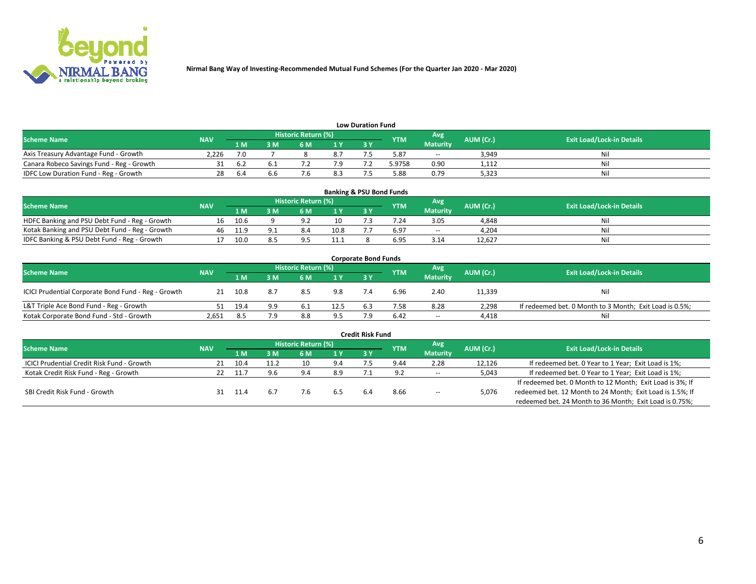

| <b>Low Duration Fund</b>                  |            |      |     |                            |     |    |            |                 |           |                                  |  |  |  |
|-------------------------------------------|------------|------|-----|----------------------------|-----|----|------------|-----------------|-----------|----------------------------------|--|--|--|
| <b>Scheme Name</b>                        | <b>NAV</b> |      |     | <b>Historic Return (%)</b> |     |    | <b>YTM</b> | Avg             | AUM (Cr.) | <b>Exit Load/Lock-in Details</b> |  |  |  |
|                                           |            | เ м  | M   | 5 M                        | 1 V | 2V |            | <b>Maturity</b> |           |                                  |  |  |  |
| Axis Treasury Advantage Fund - Growth     | 2.226      |      |     |                            |     |    | 5.87       | $- -$           | 3,949     | Nil                              |  |  |  |
| Canara Robeco Savings Fund - Reg - Growth |            | .⊾ ხ | b.1 |                            | 7.9 |    | 5.9758     | 0.90            | 1,112     | Nil                              |  |  |  |
| IDFC Low Duration Fund - Reg - Growth     |            | b.4  | b.b |                            | 8.3 |    | 5.88       | 0.79            | 5,323     | Nil                              |  |  |  |

| <b>Banking &amp; PSU Bond Funds</b>            |            |      |    |                     |      |           |            |                 |           |                                  |  |  |  |
|------------------------------------------------|------------|------|----|---------------------|------|-----------|------------|-----------------|-----------|----------------------------------|--|--|--|
| <b>Scheme Name</b>                             | <b>NAV</b> |      |    | Historic Return (%) |      |           | <b>YTM</b> | Avg             | AUM (Cr.) | <b>Exit Load/Lock-in Details</b> |  |  |  |
|                                                |            | 1 M  | sм | 6 M                 | 71 Y | <b>3Y</b> |            | <b>Maturity</b> |           |                                  |  |  |  |
| HDFC Banking and PSU Debt Fund - Reg - Growth  | 16         | 10.6 |    |                     | 10   |           | 7.24       | 3.05            | 4,848     | Ni                               |  |  |  |
| Kotak Banking and PSU Debt Fund - Reg - Growth | 46         | 11.9 |    | 8.4                 | 10.8 |           | 6.97       | $\sim$ $\sim$   | 4.204     | Ni                               |  |  |  |
| IDFC Banking & PSU Debt Fund - Reg - Growth    |            | 10.0 |    |                     | 11.1 |           | 6.95       | 3.14            | 12.627    | Ni                               |  |  |  |

| <b>Corporate Bond Funds</b>                         |            |      |                         |                     |      |     |            |                 |           |                                                         |  |  |  |
|-----------------------------------------------------|------------|------|-------------------------|---------------------|------|-----|------------|-----------------|-----------|---------------------------------------------------------|--|--|--|
| <b>Scheme Name</b>                                  | <b>NAV</b> |      |                         | Historic Return (%) |      |     | <b>YTM</b> | Avg             | AUM (Cr.) | <b>Exit Load/Lock-in Details</b>                        |  |  |  |
|                                                     |            | 1 M  | $\overline{\mathsf{M}}$ | 6 M                 | 1Y   | 3V  |            | <b>Maturity</b> |           |                                                         |  |  |  |
| ICICI Prudential Corporate Bond Fund - Reg - Growth | 21         | 10.8 | 8.7                     | 8.5                 | 9.8  |     | 6.96       | 2.40            | 11,339    | Nil                                                     |  |  |  |
| L&T Triple Ace Bond Fund - Reg - Growth             | 51         | 19.4 | 9.9                     | - 6.1               | 12.5 | 6.3 | 7.58       | 8.28            | 2,298     | If redeemed bet. 0 Month to 3 Month; Exit Load is 0.5%; |  |  |  |
| Kotak Corporate Bond Fund - Std - Growth            | 2,651      | 8.5  | 7.9                     | 8.8                 | 9.5  |     | 6.42       | $\sim$ $\sim$   | 4,418     | Nil                                                     |  |  |  |

| <b>Credit Risk Fund</b>                    |            |        |      |                     |      |    |            |                 |           |                                                           |  |  |
|--------------------------------------------|------------|--------|------|---------------------|------|----|------------|-----------------|-----------|-----------------------------------------------------------|--|--|
| <b>Scheme Name</b>                         | <b>NAV</b> |        |      | Historic Return (%) |      |    | <b>YTM</b> | Avg             | AUM (Cr.) | <b>Exit Load/Lock-in Details</b>                          |  |  |
|                                            |            | 1 M    | I M  | 6 M                 | ⁄1 Y | 3Y |            | <b>Maturity</b> |           |                                                           |  |  |
| ICICI Prudential Credit Risk Fund - Growth |            | 10.4   | 11.2 | 10                  | 9.4  |    | 9.44       | 2.28            | 12,126    | If redeemed bet. 0 Year to 1 Year; Exit Load is 1%;       |  |  |
| Kotak Credit Risk Fund - Reg - Growth      |            | - 11 - | 9.6  | ، 9                 | 8.9  |    |            | $-$             | 5,043     | If redeemed bet. 0 Year to 1 Year; Exit Load is 1%;       |  |  |
|                                            |            |        |      |                     |      |    |            |                 |           | If redeemed bet. 0 Month to 12 Month; Exit Load is 3%; If |  |  |
| SBI Credit Risk Fund - Growth              |            |        |      |                     |      |    | 8.66       | $\sim$          | 5,076     | redeemed bet. 12 Month to 24 Month; Exit Load is 1.5%; If |  |  |
|                                            |            |        |      |                     |      |    |            |                 |           | redeemed bet. 24 Month to 36 Month; Exit Load is 0.75%;   |  |  |